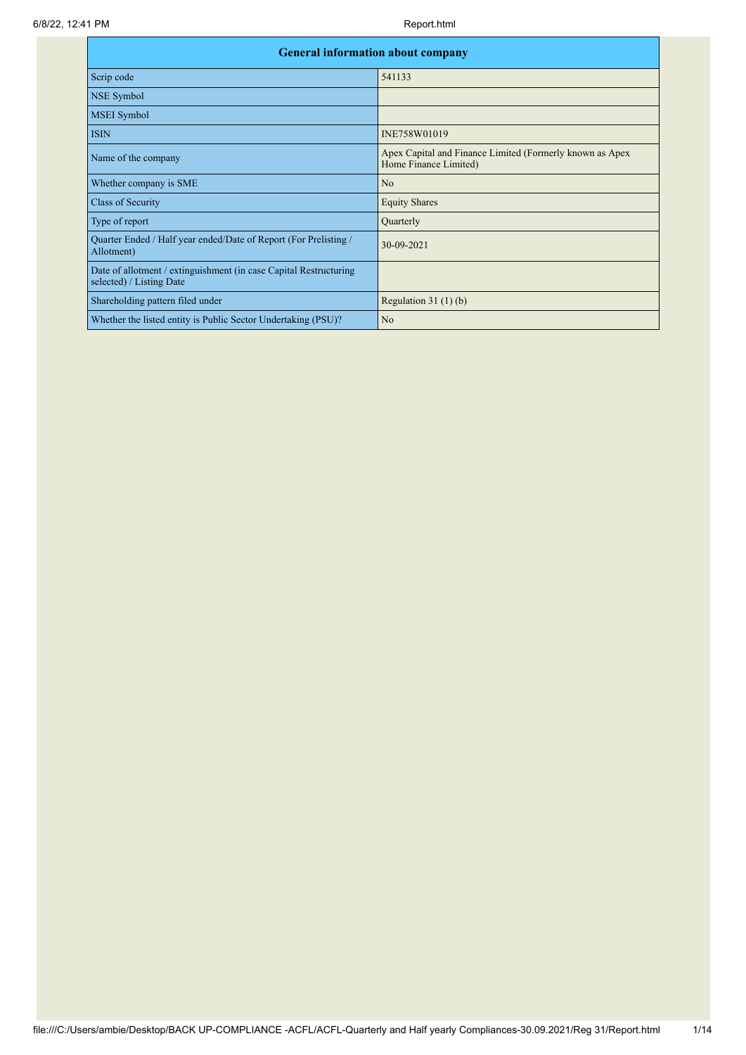| <b>General information about company</b>                                                      |                                                                                   |
|-----------------------------------------------------------------------------------------------|-----------------------------------------------------------------------------------|
| Scrip code                                                                                    | 541133                                                                            |
| NSE Symbol                                                                                    |                                                                                   |
| <b>MSEI</b> Symbol                                                                            |                                                                                   |
| <b>ISIN</b>                                                                                   | INE758W01019                                                                      |
| Name of the company                                                                           | Apex Capital and Finance Limited (Formerly known as Apex<br>Home Finance Limited) |
| Whether company is SME                                                                        | N <sub>o</sub>                                                                    |
| Class of Security                                                                             | <b>Equity Shares</b>                                                              |
| Type of report                                                                                | Quarterly                                                                         |
| Quarter Ended / Half year ended/Date of Report (For Prelisting /<br>Allotment)                | 30-09-2021                                                                        |
| Date of allotment / extinguishment (in case Capital Restructuring<br>selected) / Listing Date |                                                                                   |
| Shareholding pattern filed under                                                              | Regulation $31(1)(b)$                                                             |
| Whether the listed entity is Public Sector Undertaking (PSU)?                                 | N <sub>o</sub>                                                                    |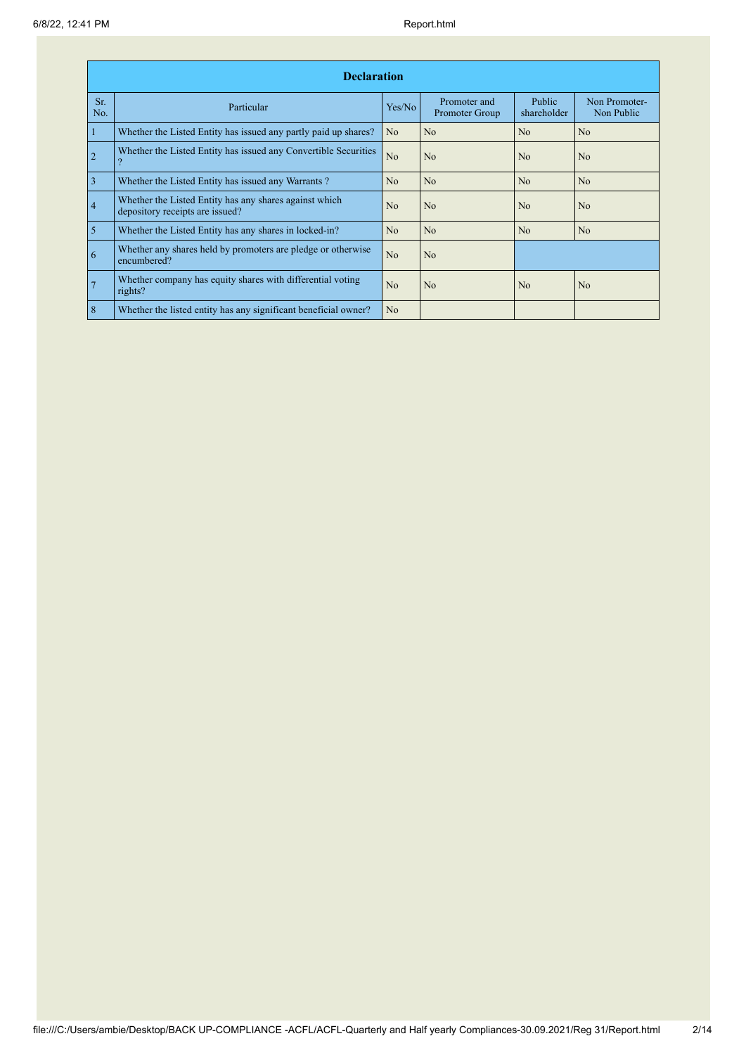|                | <b>Declaration</b>                                                                        |                |                                |                       |                             |  |  |  |  |  |  |
|----------------|-------------------------------------------------------------------------------------------|----------------|--------------------------------|-----------------------|-----------------------------|--|--|--|--|--|--|
| Sr.<br>No.     | Particular                                                                                | Yes/No         | Promoter and<br>Promoter Group | Public<br>shareholder | Non Promoter-<br>Non Public |  |  |  |  |  |  |
| $\mathbf{1}$   | Whether the Listed Entity has issued any partly paid up shares?                           | N <sub>o</sub> | No                             | N <sub>o</sub>        | N <sub>o</sub>              |  |  |  |  |  |  |
| $\overline{2}$ | Whether the Listed Entity has issued any Convertible Securities                           | N <sub>o</sub> | N <sub>0</sub>                 | N <sub>0</sub>        | N <sub>0</sub>              |  |  |  |  |  |  |
| $\overline{3}$ | Whether the Listed Entity has issued any Warrants?                                        | N <sub>o</sub> | N <sub>o</sub>                 | N <sub>o</sub>        | N <sub>o</sub>              |  |  |  |  |  |  |
| $\overline{4}$ | Whether the Listed Entity has any shares against which<br>depository receipts are issued? | N <sub>0</sub> | N <sub>o</sub>                 | N <sub>o</sub>        | N <sub>0</sub>              |  |  |  |  |  |  |
| $\overline{5}$ | Whether the Listed Entity has any shares in locked-in?                                    | N <sub>o</sub> | N <sub>o</sub>                 | N <sub>o</sub>        | N <sub>o</sub>              |  |  |  |  |  |  |
| 6              | Whether any shares held by promoters are pledge or otherwise<br>encumbered?               | No             | No                             |                       |                             |  |  |  |  |  |  |
| $\overline{7}$ | Whether company has equity shares with differential voting<br>rights?                     | No             | No                             | N <sub>o</sub>        | N <sub>o</sub>              |  |  |  |  |  |  |
| $\overline{8}$ | Whether the listed entity has any significant beneficial owner?                           | N <sub>o</sub> |                                |                       |                             |  |  |  |  |  |  |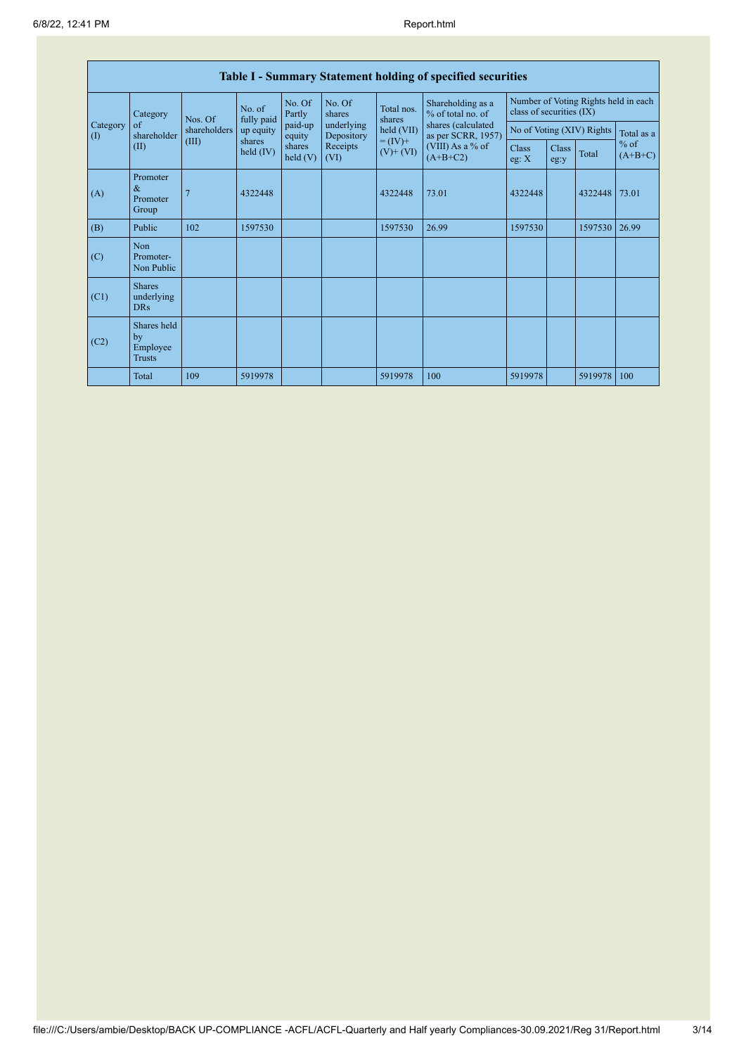|                                        | <b>Table I - Summary Statement holding of specified securities</b> |                                 |                       |                   |                          |                                        |                                                                  |                |               |                           |                                   |  |
|----------------------------------------|--------------------------------------------------------------------|---------------------------------|-----------------------|-------------------|--------------------------|----------------------------------------|------------------------------------------------------------------|----------------|---------------|---------------------------|-----------------------------------|--|
|                                        | Category                                                           | No. of<br>fully paid<br>Nos. Of | No. Of<br>Partly      | No. Of<br>shares  | Total nos.<br>shares     | Shareholding as a<br>% of total no. of | Number of Voting Rights held in each<br>class of securities (IX) |                |               |                           |                                   |  |
| Category<br>$\left( \mathrm{I}\right)$ | of<br>shareholder                                                  | shareholders                    | up equity             | paid-up<br>equity | underlying<br>Depository | held (VII)                             | shares (calculated<br>as per SCRR, 1957)                         |                |               | No of Voting (XIV) Rights | Total as a<br>$%$ of<br>$(A+B+C)$ |  |
|                                        | (II)                                                               | (III)                           | shares<br>held $(IV)$ | shares<br>held(V) | Receipts<br>(VI)         | $= (IV) +$<br>$(V)$ + $(VI)$           | (VIII) As a % of<br>$(A+B+C2)$                                   | Class<br>eg: X | Class<br>eg:y | Total                     |                                   |  |
| (A)                                    | Promoter<br>$\&$<br>Promoter<br>Group                              |                                 | 4322448               |                   |                          | 4322448                                | 73.01                                                            | 4322448        |               | 4322448                   | 73.01                             |  |
| (B)                                    | Public                                                             | 102                             | 1597530               |                   |                          | 1597530                                | 26.99                                                            | 1597530        |               | 1597530                   | 26.99                             |  |
| (C)                                    | Non<br>Promoter-<br>Non Public                                     |                                 |                       |                   |                          |                                        |                                                                  |                |               |                           |                                   |  |
| (C1)                                   | <b>Shares</b><br>underlying<br><b>DRs</b>                          |                                 |                       |                   |                          |                                        |                                                                  |                |               |                           |                                   |  |
| (C2)                                   | Shares held<br>by<br>Employee<br><b>Trusts</b>                     |                                 |                       |                   |                          |                                        |                                                                  |                |               |                           |                                   |  |
|                                        | Total                                                              | 109                             | 5919978               |                   |                          | 5919978                                | 100                                                              | 5919978        |               | 5919978                   | 100                               |  |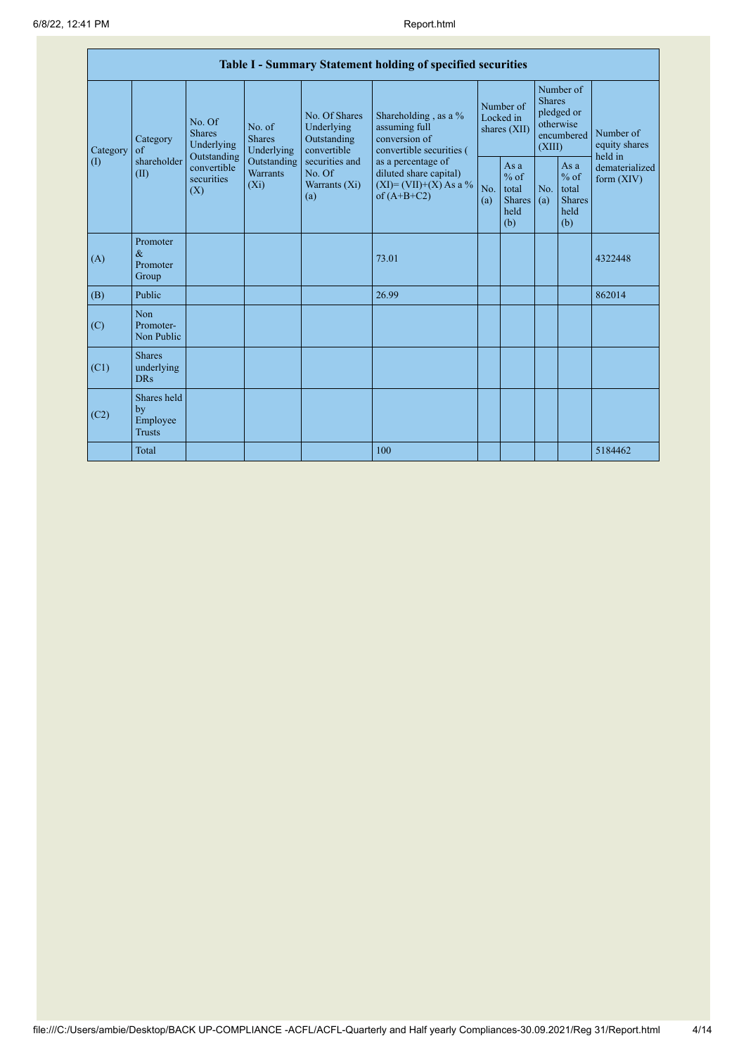|                        | Table I - Summary Statement holding of specified securities |                                                                                                                                                                                |                                                  |                                                                                            |                                                                                    |                                                        |            |                                                                               |                                |                                       |  |
|------------------------|-------------------------------------------------------------|--------------------------------------------------------------------------------------------------------------------------------------------------------------------------------|--------------------------------------------------|--------------------------------------------------------------------------------------------|------------------------------------------------------------------------------------|--------------------------------------------------------|------------|-------------------------------------------------------------------------------|--------------------------------|---------------------------------------|--|
| Category<br>(1)<br>(A) | Category<br>of<br>shareholder<br>(II)                       | No. Of<br>No. of<br><b>Shares</b><br><b>Shares</b><br>Underlying<br>Underlying<br>Outstanding<br>Outstanding<br>convertible<br><b>Warrants</b><br>securities<br>$(X_i)$<br>(X) |                                                  | No. Of Shares<br>Underlying<br>Outstanding<br>convertible                                  | Shareholding, as a %<br>assuming full<br>conversion of<br>convertible securities ( | Number of<br>Locked in<br>shares (XII)                 |            | Number of<br><b>Shares</b><br>pledged or<br>otherwise<br>encumbered<br>(XIII) |                                | Number of<br>equity shares<br>held in |  |
|                        |                                                             |                                                                                                                                                                                | securities and<br>No. Of<br>Warrants (Xi)<br>(a) | as a percentage of<br>diluted share capital)<br>$(XI) = (VII)+(X) As a %$<br>of $(A+B+C2)$ | No.<br>(a)                                                                         | Asa<br>$%$ of<br>total<br><b>Shares</b><br>held<br>(b) | No.<br>(a) | As a<br>$%$ of<br>total<br><b>Shares</b><br>held<br>(b)                       | dematerialized<br>form $(XIV)$ |                                       |  |
|                        | Promoter<br>$\&$<br>Promoter<br>Group                       |                                                                                                                                                                                |                                                  |                                                                                            | 73.01                                                                              |                                                        |            |                                                                               |                                | 4322448                               |  |
| (B)                    | Public                                                      |                                                                                                                                                                                |                                                  |                                                                                            | 26.99                                                                              |                                                        |            |                                                                               |                                | 862014                                |  |
| (C)                    | Non<br>Promoter-<br>Non Public                              |                                                                                                                                                                                |                                                  |                                                                                            |                                                                                    |                                                        |            |                                                                               |                                |                                       |  |
| (C1)                   | <b>Shares</b><br>underlying<br><b>DRs</b>                   |                                                                                                                                                                                |                                                  |                                                                                            |                                                                                    |                                                        |            |                                                                               |                                |                                       |  |
| (C2)                   | Shares held<br>by<br>Employee<br><b>Trusts</b>              |                                                                                                                                                                                |                                                  |                                                                                            |                                                                                    |                                                        |            |                                                                               |                                |                                       |  |
|                        | Total                                                       |                                                                                                                                                                                |                                                  |                                                                                            | 100                                                                                |                                                        |            |                                                                               |                                | 5184462                               |  |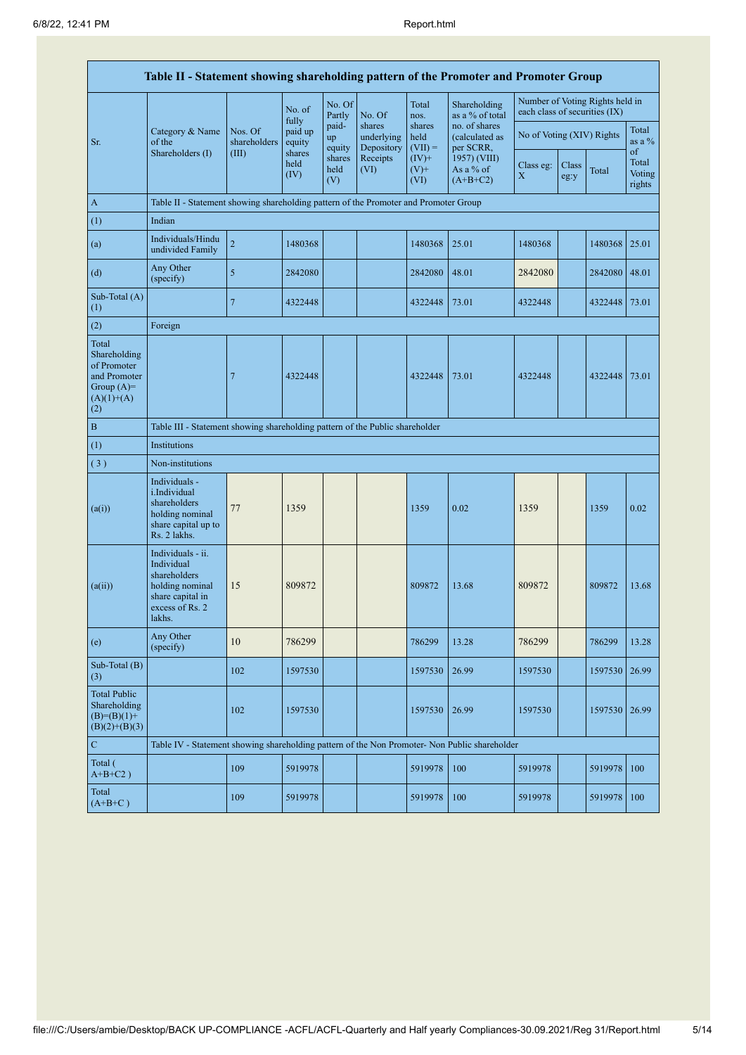|                                                                                             | Table II - Statement showing shareholding pattern of the Promoter and Promoter Group                                |                         |                            |                       |                                    |                             |                                              |                               |               |                                 |                           |  |
|---------------------------------------------------------------------------------------------|---------------------------------------------------------------------------------------------------------------------|-------------------------|----------------------------|-----------------------|------------------------------------|-----------------------------|----------------------------------------------|-------------------------------|---------------|---------------------------------|---------------------------|--|
|                                                                                             |                                                                                                                     |                         | No. of                     | No. Of<br>Partly      | No. Of                             | Total<br>nos.               | Shareholding<br>as a % of total              | each class of securities (IX) |               | Number of Voting Rights held in |                           |  |
| Sr.                                                                                         | Category & Name<br>of the                                                                                           | Nos. Of<br>shareholders | fully<br>paid up<br>equity | paid-<br>up<br>equity | shares<br>underlying<br>Depository | shares<br>held<br>$(VII) =$ | no. of shares<br>(calculated as<br>per SCRR, | No of Voting (XIV) Rights     |               |                                 | Total<br>as a $\%$<br>of  |  |
|                                                                                             | Shareholders (I)                                                                                                    | (III)                   | shares<br>held<br>(IV)     | shares<br>held<br>(V) | Receipts<br>(VI)                   | $(IV)$ +<br>$(V)$ +<br>(VI) | 1957) (VIII)<br>As a % of<br>$(A+B+C2)$      | Class eg:<br>$\mathbf X$      | Class<br>eg:y | Total                           | Total<br>Voting<br>rights |  |
| $\mathbf{A}$                                                                                | Table II - Statement showing shareholding pattern of the Promoter and Promoter Group                                |                         |                            |                       |                                    |                             |                                              |                               |               |                                 |                           |  |
| (1)                                                                                         | Indian                                                                                                              |                         |                            |                       |                                    |                             |                                              |                               |               |                                 |                           |  |
| (a)                                                                                         | Individuals/Hindu<br>undivided Family                                                                               | $\overline{c}$          | 1480368                    |                       |                                    | 1480368                     | 25.01                                        | 1480368                       |               | 1480368                         | 25.01                     |  |
| (d)                                                                                         | Any Other<br>(specify)                                                                                              | 5                       | 2842080                    |                       |                                    | 2842080                     | 48.01                                        | 2842080                       |               | 2842080                         | 48.01                     |  |
| Sub-Total (A)<br>(1)                                                                        |                                                                                                                     | 7                       | 4322448                    |                       |                                    | 4322448                     | 73.01                                        | 4322448                       |               | 4322448 73.01                   |                           |  |
| (2)                                                                                         | Foreign                                                                                                             |                         |                            |                       |                                    |                             |                                              |                               |               |                                 |                           |  |
| Total<br>Shareholding<br>of Promoter<br>and Promoter<br>Group $(A)=$<br>$(A)(1)+(A)$<br>(2) |                                                                                                                     | 7                       | 4322448                    |                       |                                    | 4322448                     | 73.01                                        | 4322448                       |               | 4322448                         | 73.01                     |  |
| $\, {\bf B}$                                                                                | Table III - Statement showing shareholding pattern of the Public shareholder                                        |                         |                            |                       |                                    |                             |                                              |                               |               |                                 |                           |  |
| (1)                                                                                         | Institutions                                                                                                        |                         |                            |                       |                                    |                             |                                              |                               |               |                                 |                           |  |
| (3)                                                                                         | Non-institutions                                                                                                    |                         |                            |                       |                                    |                             |                                              |                               |               |                                 |                           |  |
| (a(i))                                                                                      | Individuals -<br>i.Individual<br>shareholders<br>holding nominal<br>share capital up to<br>Rs. 2 lakhs.             | 77                      | 1359                       |                       |                                    | 1359                        | 0.02                                         | 1359                          |               | 1359                            | 0.02                      |  |
| (a(ii))                                                                                     | Individuals - ii.<br>Individual<br>shareholders<br>holding nominal<br>share capital in<br>excess of Rs. 2<br>lakhs. | 15                      | 809872                     |                       |                                    | 809872                      | 13.68                                        | 809872                        |               | 809872                          | 13.68                     |  |
| (e)                                                                                         | Any Other<br>(specify)                                                                                              | 10                      | 786299                     |                       |                                    | 786299                      | 13.28                                        | 786299                        |               | 786299                          | 13.28                     |  |
| Sub-Total (B)<br>(3)                                                                        |                                                                                                                     | 102                     | 1597530                    |                       |                                    | 1597530                     | 26.99                                        | 1597530                       |               | 1597530                         | 26.99                     |  |
| <b>Total Public</b><br>Shareholding<br>$(B)=(B)(1)+$<br>$(B)(2)+(B)(3)$                     |                                                                                                                     | 102                     | 1597530                    |                       |                                    | 1597530                     | 26.99                                        | 1597530                       |               | 1597530                         | 26.99                     |  |
| ${\bf C}$                                                                                   | Table IV - Statement showing shareholding pattern of the Non Promoter- Non Public shareholder                       |                         |                            |                       |                                    |                             |                                              |                               |               |                                 |                           |  |
| Total (<br>$A+B+C2$ )                                                                       |                                                                                                                     | 109                     | 5919978                    |                       |                                    | 5919978                     | 100                                          | 5919978                       |               | 5919978                         | 100                       |  |
| Total<br>$(A+B+C)$                                                                          |                                                                                                                     | 109                     | 5919978                    |                       |                                    | 5919978                     | 100                                          | 5919978                       |               | 5919978                         | 100                       |  |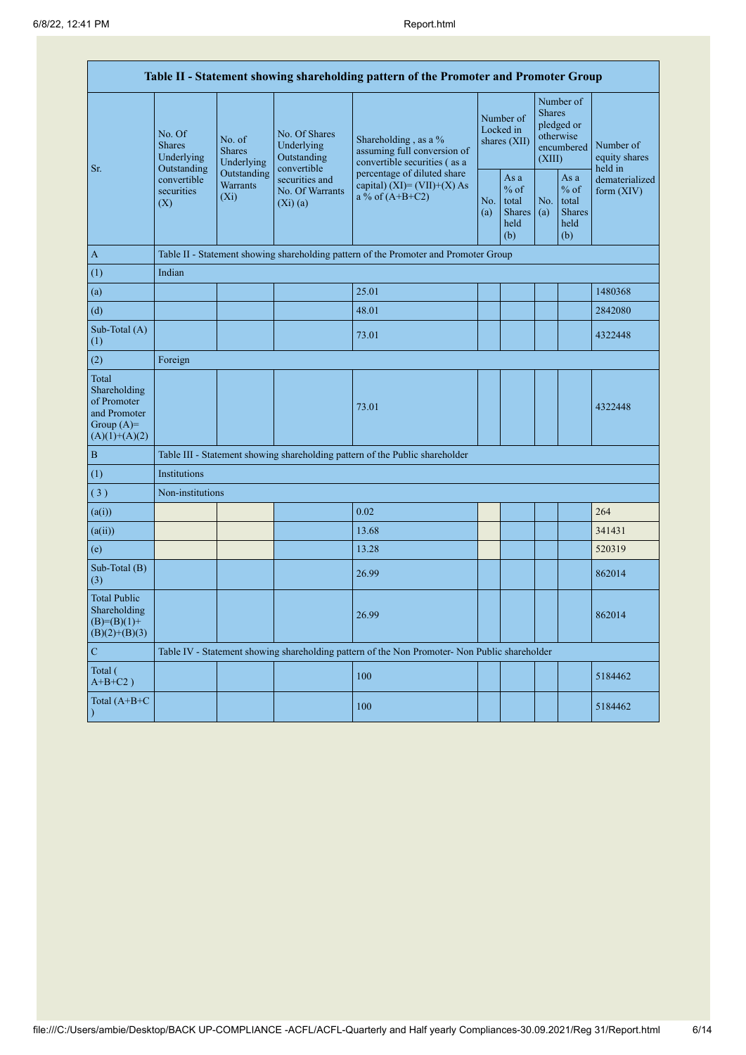| Table II - Statement showing shareholding pattern of the Promoter and Promoter Group    |                                                                                                     |                                                                                      |                                                                |                                                                                               |            |                                                         |                                                                               |                                                         |                                       |  |  |  |
|-----------------------------------------------------------------------------------------|-----------------------------------------------------------------------------------------------------|--------------------------------------------------------------------------------------|----------------------------------------------------------------|-----------------------------------------------------------------------------------------------|------------|---------------------------------------------------------|-------------------------------------------------------------------------------|---------------------------------------------------------|---------------------------------------|--|--|--|
| Sr.                                                                                     | No. Of<br><b>Shares</b><br>Underlying<br>Outstanding<br>convertible<br>securities<br>$(X_i)$<br>(X) | No. of<br><b>Shares</b><br>Underlying                                                | No. Of Shares<br>Underlying<br>Outstanding                     | Shareholding, as a %<br>assuming full conversion of<br>convertible securities (as a           |            | Number of<br>Locked in<br>shares (XII)                  | Number of<br><b>Shares</b><br>pledged or<br>otherwise<br>encumbered<br>(XIII) |                                                         | Number of<br>equity shares<br>held in |  |  |  |
|                                                                                         |                                                                                                     | Outstanding<br><b>Warrants</b>                                                       | convertible<br>securities and<br>No. Of Warrants<br>$(Xi)$ (a) | percentage of diluted share<br>capital) $(XI) = (VII)+(X) As$<br>a % of $(A+B+C2)$            | No.<br>(a) | As a<br>$%$ of<br>total<br><b>Shares</b><br>held<br>(b) | No.<br>(a)                                                                    | As a<br>$%$ of<br>total<br><b>Shares</b><br>held<br>(b) | dematerialized<br>form $(XIV)$        |  |  |  |
| $\mathbf{A}$                                                                            |                                                                                                     | Table II - Statement showing shareholding pattern of the Promoter and Promoter Group |                                                                |                                                                                               |            |                                                         |                                                                               |                                                         |                                       |  |  |  |
| (1)                                                                                     | Indian                                                                                              |                                                                                      |                                                                |                                                                                               |            |                                                         |                                                                               |                                                         |                                       |  |  |  |
| (a)                                                                                     |                                                                                                     |                                                                                      |                                                                | 25.01                                                                                         |            |                                                         |                                                                               |                                                         | 1480368                               |  |  |  |
| (d)                                                                                     |                                                                                                     |                                                                                      |                                                                | 48.01                                                                                         |            |                                                         |                                                                               |                                                         | 2842080                               |  |  |  |
| Sub-Total (A)<br>(1)                                                                    |                                                                                                     |                                                                                      |                                                                | 73.01                                                                                         |            |                                                         |                                                                               |                                                         | 4322448                               |  |  |  |
| (2)                                                                                     | Foreign                                                                                             |                                                                                      |                                                                |                                                                                               |            |                                                         |                                                                               |                                                         |                                       |  |  |  |
| Total<br>Shareholding<br>of Promoter<br>and Promoter<br>Group $(A)=$<br>$(A)(1)+(A)(2)$ |                                                                                                     |                                                                                      |                                                                | 73.01                                                                                         |            |                                                         |                                                                               |                                                         | 4322448                               |  |  |  |
| $\, {\bf B}$                                                                            |                                                                                                     |                                                                                      |                                                                | Table III - Statement showing shareholding pattern of the Public shareholder                  |            |                                                         |                                                                               |                                                         |                                       |  |  |  |
| (1)                                                                                     | Institutions                                                                                        |                                                                                      |                                                                |                                                                                               |            |                                                         |                                                                               |                                                         |                                       |  |  |  |
| (3)                                                                                     | Non-institutions                                                                                    |                                                                                      |                                                                |                                                                                               |            |                                                         |                                                                               |                                                         |                                       |  |  |  |
| (a(i))                                                                                  |                                                                                                     |                                                                                      |                                                                | 0.02                                                                                          |            |                                                         |                                                                               |                                                         | 264                                   |  |  |  |
| (a(ii))                                                                                 |                                                                                                     |                                                                                      |                                                                | 13.68                                                                                         |            |                                                         |                                                                               |                                                         | 341431                                |  |  |  |
| (e)                                                                                     |                                                                                                     |                                                                                      |                                                                | 13.28                                                                                         |            |                                                         |                                                                               |                                                         | 520319                                |  |  |  |
| Sub-Total (B)<br>(3)                                                                    |                                                                                                     |                                                                                      |                                                                | 26.99                                                                                         |            |                                                         |                                                                               |                                                         | 862014                                |  |  |  |
| <b>Total Public</b><br>Shareholding<br>$(B)= (B)(1) +$<br>$(B)(2)+(B)(3)$               |                                                                                                     |                                                                                      |                                                                | 26.99                                                                                         |            |                                                         |                                                                               |                                                         | 862014                                |  |  |  |
| $\mathbf C$                                                                             |                                                                                                     |                                                                                      |                                                                | Table IV - Statement showing shareholding pattern of the Non Promoter- Non Public shareholder |            |                                                         |                                                                               |                                                         |                                       |  |  |  |
| Total (<br>$A+B+C2$ )                                                                   |                                                                                                     |                                                                                      |                                                                | 100                                                                                           |            |                                                         |                                                                               |                                                         | 5184462                               |  |  |  |
| Total (A+B+C                                                                            |                                                                                                     |                                                                                      |                                                                | 100                                                                                           |            |                                                         |                                                                               |                                                         | 5184462                               |  |  |  |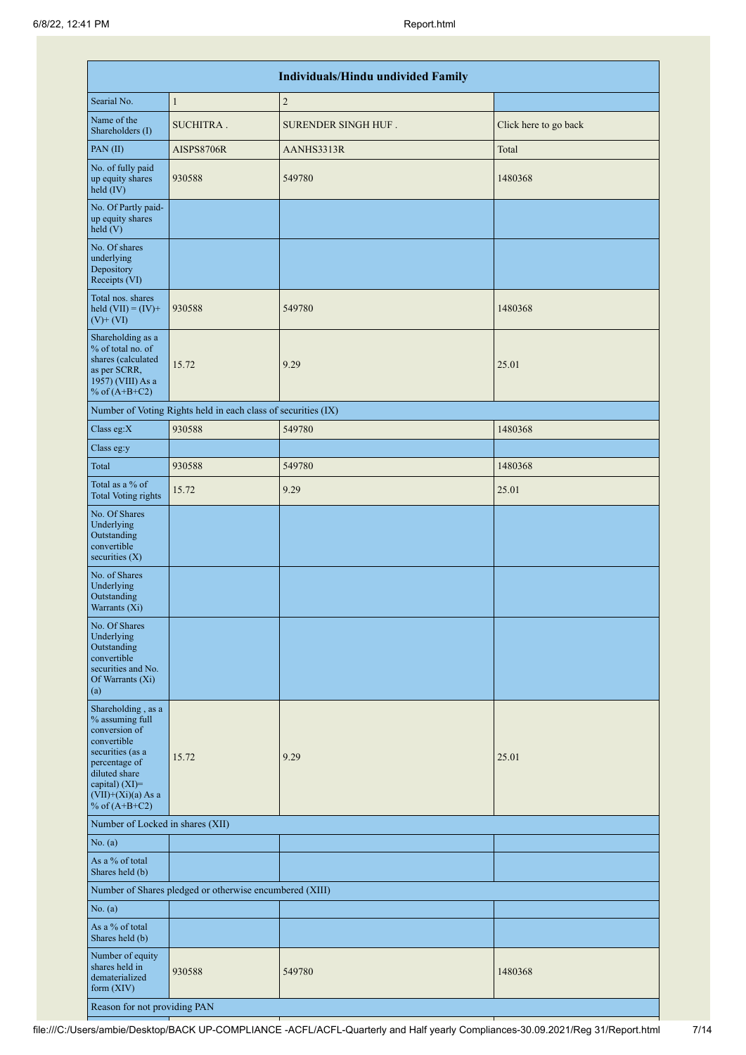|                                                                                                                                                                                          |                                                               | <b>Individuals/Hindu undivided Family</b> |                       |
|------------------------------------------------------------------------------------------------------------------------------------------------------------------------------------------|---------------------------------------------------------------|-------------------------------------------|-----------------------|
| Searial No.                                                                                                                                                                              | $\mathbf{1}$                                                  | $\sqrt{2}$                                |                       |
| Name of the<br>Shareholders (I)                                                                                                                                                          | SUCHITRA.                                                     | SURENDER SINGH HUF.                       | Click here to go back |
| PAN(II)                                                                                                                                                                                  | AISPS8706R                                                    | AANHS3313R                                | Total                 |
| No. of fully paid<br>up equity shares<br>held (IV)                                                                                                                                       | 930588                                                        | 549780                                    | 1480368               |
| No. Of Partly paid-<br>up equity shares<br>held(V)                                                                                                                                       |                                                               |                                           |                       |
| No. Of shares<br>underlying<br>Depository<br>Receipts (VI)                                                                                                                               |                                                               |                                           |                       |
| Total nos. shares<br>held $(VII) = (IV) +$<br>$(V)$ + $(VI)$                                                                                                                             | 930588                                                        | 549780                                    | 1480368               |
| Shareholding as a<br>% of total no. of<br>shares (calculated<br>as per SCRR,<br>1957) (VIII) As a<br>% of $(A+B+C2)$                                                                     | 15.72                                                         | 9.29                                      | 25.01                 |
|                                                                                                                                                                                          | Number of Voting Rights held in each class of securities (IX) |                                           |                       |
| Class eg:X                                                                                                                                                                               | 930588                                                        | 549780                                    | 1480368               |
| Class eg:y                                                                                                                                                                               |                                                               |                                           |                       |
| Total                                                                                                                                                                                    | 930588                                                        | 549780                                    | 1480368               |
| Total as a % of<br><b>Total Voting rights</b>                                                                                                                                            | 15.72                                                         | 9.29                                      | 25.01                 |
| No. Of Shares<br>Underlying<br>Outstanding<br>convertible<br>securities $(X)$                                                                                                            |                                                               |                                           |                       |
| No. of Shares<br>Underlying<br>Outstanding<br>Warrants (Xi)                                                                                                                              |                                                               |                                           |                       |
| No. Of Shares<br>Underlying<br>Outstanding<br>convertible<br>securities and No.<br>Of Warrants (Xi)<br>(a)                                                                               |                                                               |                                           |                       |
| Shareholding, as a<br>% assuming full<br>conversion of<br>convertible<br>securities (as a<br>percentage of<br>diluted share<br>capital) (XI)=<br>$(VII)+(Xi)(a)$ As a<br>% of $(A+B+C2)$ | 15.72                                                         | 9.29                                      | 25.01                 |
| Number of Locked in shares (XII)                                                                                                                                                         |                                                               |                                           |                       |
| No. (a)                                                                                                                                                                                  |                                                               |                                           |                       |
| As a % of total<br>Shares held (b)                                                                                                                                                       |                                                               |                                           |                       |
|                                                                                                                                                                                          | Number of Shares pledged or otherwise encumbered (XIII)       |                                           |                       |
| No. (a)                                                                                                                                                                                  |                                                               |                                           |                       |
| As a % of total<br>Shares held (b)                                                                                                                                                       |                                                               |                                           |                       |
| Number of equity<br>shares held in<br>dematerialized<br>form (XIV)                                                                                                                       | 930588                                                        | 549780                                    | 1480368               |
| Reason for not providing PAN                                                                                                                                                             |                                                               |                                           |                       |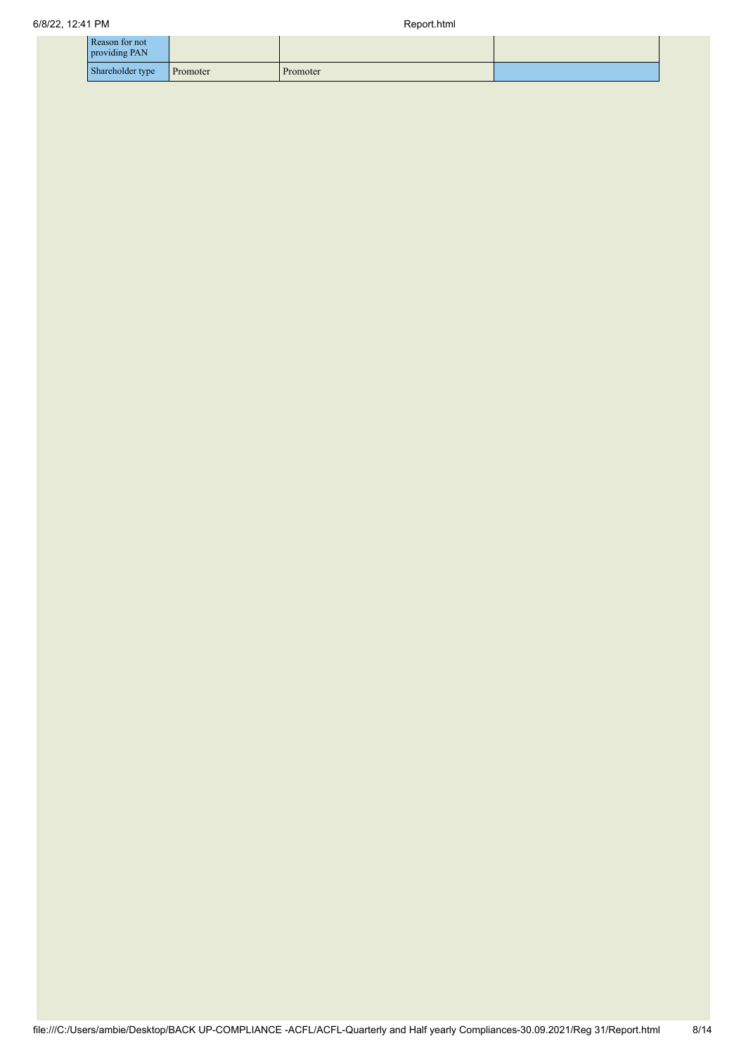| Reason for not<br>providing PAN |                  |          |          |  |
|---------------------------------|------------------|----------|----------|--|
|                                 | Shareholder type | Promoter | Promoter |  |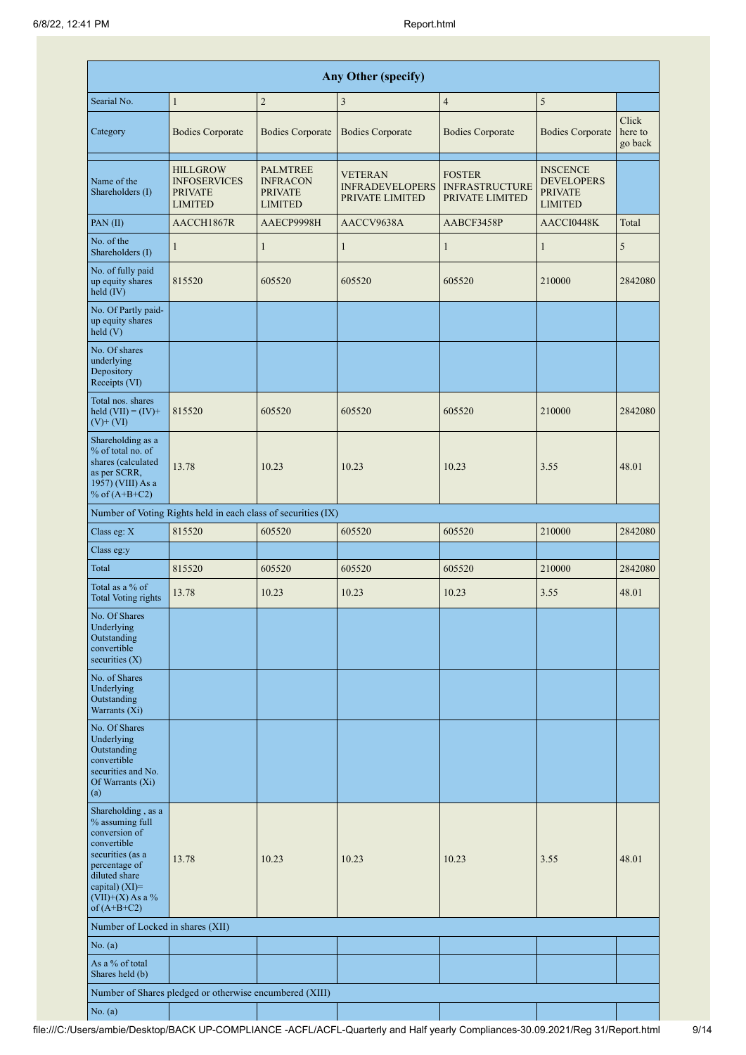|                                                                                                                                                                                      | Any Other (specify)                                                        |                                                                        |                                                             |                                                           |                                                                          |                             |  |  |  |  |  |  |  |
|--------------------------------------------------------------------------------------------------------------------------------------------------------------------------------------|----------------------------------------------------------------------------|------------------------------------------------------------------------|-------------------------------------------------------------|-----------------------------------------------------------|--------------------------------------------------------------------------|-----------------------------|--|--|--|--|--|--|--|
| Searial No.                                                                                                                                                                          | $\mathbf{1}$                                                               | $\mathbf{2}$                                                           | $\mathfrak{Z}$                                              | $\overline{4}$                                            | 5                                                                        |                             |  |  |  |  |  |  |  |
| Category                                                                                                                                                                             | <b>Bodies Corporate</b>                                                    | <b>Bodies Corporate</b>                                                | <b>Bodies Corporate</b>                                     | <b>Bodies Corporate</b>                                   | <b>Bodies Corporate</b>                                                  | Click<br>here to<br>go back |  |  |  |  |  |  |  |
| Name of the<br>Shareholders (I)                                                                                                                                                      | <b>HILLGROW</b><br><b>INFOSERVICES</b><br><b>PRIVATE</b><br><b>LIMITED</b> | <b>PALMTREE</b><br><b>INFRACON</b><br><b>PRIVATE</b><br><b>LIMITED</b> | <b>VETERAN</b><br><b>INFRADEVELOPERS</b><br>PRIVATE LIMITED | <b>FOSTER</b><br><b>INFRASTRUCTURE</b><br>PRIVATE LIMITED | <b>INSCENCE</b><br><b>DEVELOPERS</b><br><b>PRIVATE</b><br><b>LIMITED</b> |                             |  |  |  |  |  |  |  |
| PAN(II)                                                                                                                                                                              | AACCH1867R                                                                 | AAECP9998H                                                             | AACCV9638A                                                  | AABCF3458P                                                | AACCI0448K                                                               | Total                       |  |  |  |  |  |  |  |
| No. of the<br>Shareholders (I)                                                                                                                                                       | $\mathbf{1}$                                                               | $\mathbf{1}$                                                           | $\mathbf{1}$                                                | $\mathbf{1}$                                              | $\mathbf{1}$                                                             | 5                           |  |  |  |  |  |  |  |
| No. of fully paid<br>up equity shares<br>$held$ (IV)                                                                                                                                 | 815520                                                                     | 605520                                                                 | 605520                                                      | 605520                                                    | 210000                                                                   | 2842080                     |  |  |  |  |  |  |  |
| No. Of Partly paid-<br>up equity shares<br>held $(V)$                                                                                                                                |                                                                            |                                                                        |                                                             |                                                           |                                                                          |                             |  |  |  |  |  |  |  |
| No. Of shares<br>underlying<br>Depository<br>Receipts (VI)                                                                                                                           |                                                                            |                                                                        |                                                             |                                                           |                                                                          |                             |  |  |  |  |  |  |  |
| Total nos. shares<br>held $(VII) = (IV) +$<br>$(V)$ + $(VI)$                                                                                                                         | 815520                                                                     | 605520                                                                 | 605520                                                      | 605520                                                    | 210000                                                                   | 2842080                     |  |  |  |  |  |  |  |
| Shareholding as a<br>% of total no. of<br>shares (calculated<br>as per SCRR,<br>1957) (VIII) As a<br>% of $(A+B+C2)$                                                                 | 13.78                                                                      | 10.23                                                                  | 10.23                                                       | 10.23                                                     | 3.55                                                                     | 48.01                       |  |  |  |  |  |  |  |
|                                                                                                                                                                                      | Number of Voting Rights held in each class of securities (IX)              |                                                                        |                                                             |                                                           |                                                                          |                             |  |  |  |  |  |  |  |
| Class eg: X                                                                                                                                                                          | 815520                                                                     | 605520                                                                 | 605520                                                      | 605520                                                    | 210000                                                                   | 2842080                     |  |  |  |  |  |  |  |
| Class eg:y                                                                                                                                                                           |                                                                            |                                                                        |                                                             |                                                           |                                                                          |                             |  |  |  |  |  |  |  |
| Total                                                                                                                                                                                | 815520                                                                     | 605520                                                                 | 605520                                                      | 605520                                                    | 210000                                                                   | 2842080                     |  |  |  |  |  |  |  |
| Total as a % of<br>Total Voting rights                                                                                                                                               | 13.78                                                                      | 10.23                                                                  | 10.23                                                       | 10.23                                                     | 3.55                                                                     | 48.01                       |  |  |  |  |  |  |  |
| No. Of Shares<br>Underlying<br>Outstanding<br>convertible<br>securities $(X)$                                                                                                        |                                                                            |                                                                        |                                                             |                                                           |                                                                          |                             |  |  |  |  |  |  |  |
| No. of Shares<br>Underlying<br>Outstanding<br>Warrants (Xi)                                                                                                                          |                                                                            |                                                                        |                                                             |                                                           |                                                                          |                             |  |  |  |  |  |  |  |
| No. Of Shares<br>Underlying<br>Outstanding<br>convertible<br>securities and No.<br>Of Warrants (Xi)<br>(a)                                                                           |                                                                            |                                                                        |                                                             |                                                           |                                                                          |                             |  |  |  |  |  |  |  |
| Shareholding, as a<br>% assuming full<br>conversion of<br>convertible<br>securities (as a<br>percentage of<br>diluted share<br>capital) (XI)=<br>$(VII)+(X)$ As a %<br>of $(A+B+C2)$ | 13.78                                                                      | 10.23                                                                  | 10.23                                                       | 10.23                                                     | 3.55                                                                     | 48.01                       |  |  |  |  |  |  |  |
| Number of Locked in shares (XII)                                                                                                                                                     |                                                                            |                                                                        |                                                             |                                                           |                                                                          |                             |  |  |  |  |  |  |  |
| No. (a)                                                                                                                                                                              |                                                                            |                                                                        |                                                             |                                                           |                                                                          |                             |  |  |  |  |  |  |  |
| As a % of total<br>Shares held (b)                                                                                                                                                   |                                                                            |                                                                        |                                                             |                                                           |                                                                          |                             |  |  |  |  |  |  |  |
|                                                                                                                                                                                      | Number of Shares pledged or otherwise encumbered (XIII)                    |                                                                        |                                                             |                                                           |                                                                          |                             |  |  |  |  |  |  |  |
| No. (a)                                                                                                                                                                              |                                                                            |                                                                        |                                                             |                                                           |                                                                          |                             |  |  |  |  |  |  |  |

a)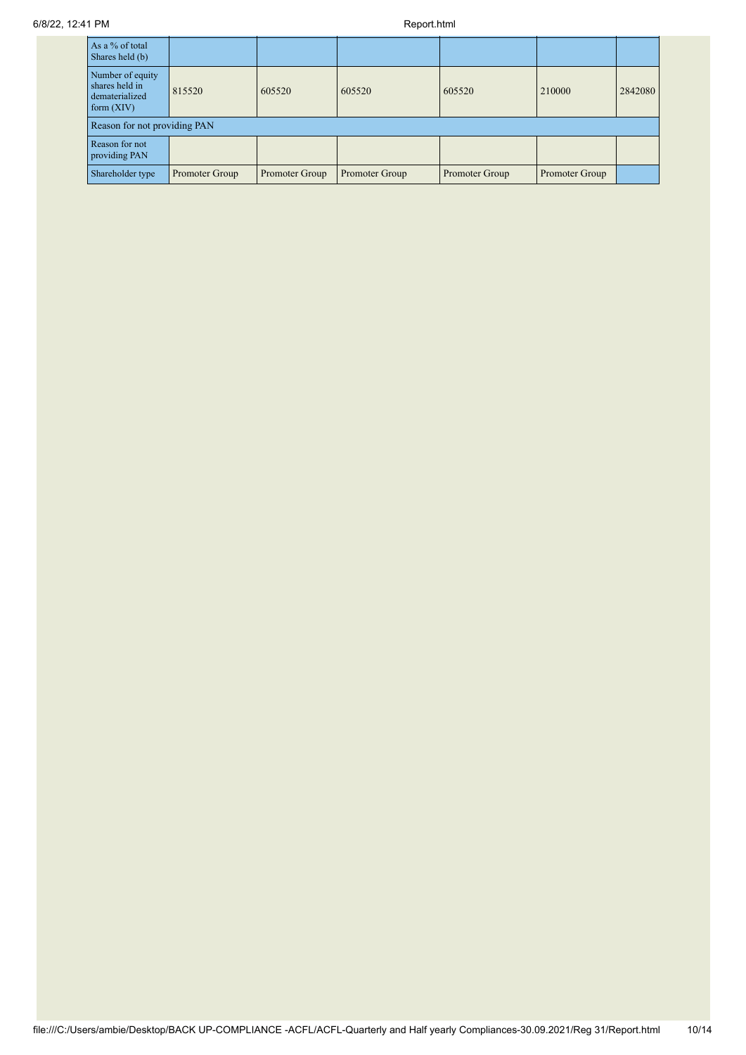| As a $%$ of total<br>Shares held (b)                                 |                |                |                |                |                |         |
|----------------------------------------------------------------------|----------------|----------------|----------------|----------------|----------------|---------|
| Number of equity<br>shares held in<br>dematerialized<br>form $(XIV)$ | 815520         | 605520         | 605520         | 605520         | 210000         | 2842080 |
| Reason for not providing PAN                                         |                |                |                |                |                |         |
| Reason for not<br>providing PAN                                      |                |                |                |                |                |         |
| Shareholder type                                                     | Promoter Group | Promoter Group | Promoter Group | Promoter Group | Promoter Group |         |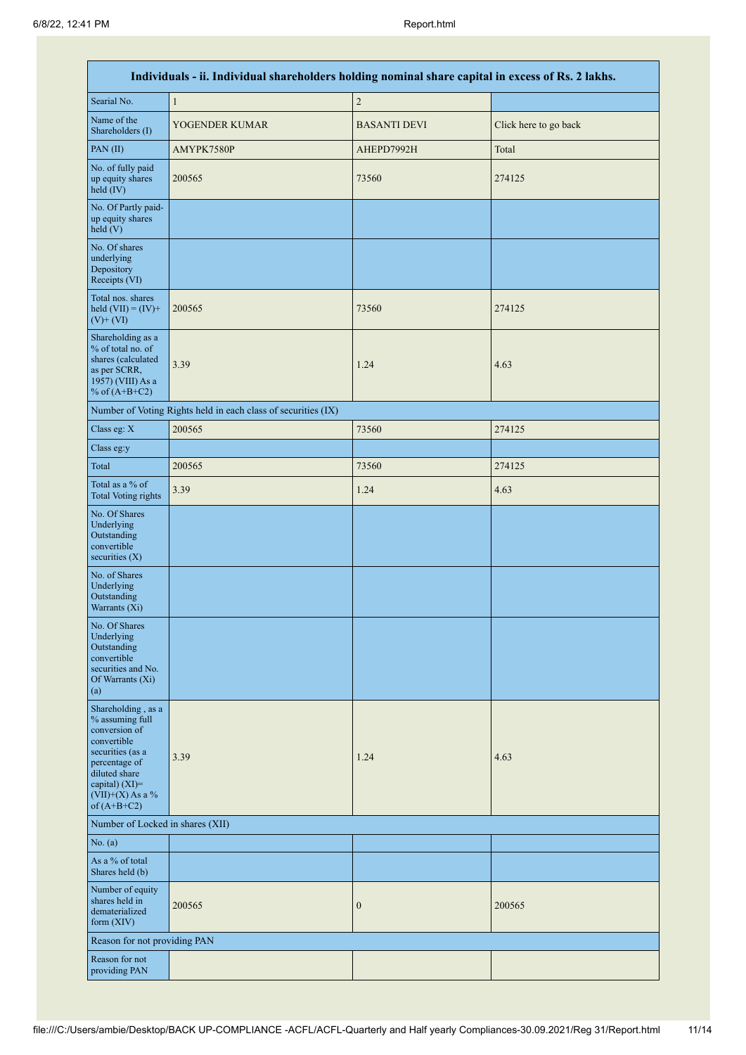|                                                                                                                                                                                         | Individuals - ii. Individual shareholders holding nominal share capital in excess of Rs. 2 lakhs. |                     |                       |  |  |  |  |  |  |  |  |
|-----------------------------------------------------------------------------------------------------------------------------------------------------------------------------------------|---------------------------------------------------------------------------------------------------|---------------------|-----------------------|--|--|--|--|--|--|--|--|
| Searial No.                                                                                                                                                                             | $\,1$                                                                                             | $\sqrt{2}$          |                       |  |  |  |  |  |  |  |  |
| Name of the<br>Shareholders (I)                                                                                                                                                         | YOGENDER KUMAR                                                                                    | <b>BASANTI DEVI</b> | Click here to go back |  |  |  |  |  |  |  |  |
| PAN(II)                                                                                                                                                                                 | AMYPK7580P                                                                                        | AHEPD7992H          | Total                 |  |  |  |  |  |  |  |  |
| No. of fully paid<br>up equity shares<br>held (IV)                                                                                                                                      | 200565                                                                                            | 73560               | 274125                |  |  |  |  |  |  |  |  |
| No. Of Partly paid-<br>up equity shares<br>held (V)                                                                                                                                     |                                                                                                   |                     |                       |  |  |  |  |  |  |  |  |
| No. Of shares<br>underlying<br>Depository<br>Receipts (VI)                                                                                                                              |                                                                                                   |                     |                       |  |  |  |  |  |  |  |  |
| Total nos. shares<br>held $(VII) = (IV) +$<br>$(V)$ + $(VI)$                                                                                                                            | 200565                                                                                            | 73560               | 274125                |  |  |  |  |  |  |  |  |
| Shareholding as a<br>% of total no. of<br>shares (calculated<br>as per SCRR,<br>1957) (VIII) As a<br>% of $(A+B+C2)$                                                                    | 3.39                                                                                              | 1.24                | 4.63                  |  |  |  |  |  |  |  |  |
|                                                                                                                                                                                         | Number of Voting Rights held in each class of securities (IX)                                     |                     |                       |  |  |  |  |  |  |  |  |
| Class eg: X                                                                                                                                                                             | 200565                                                                                            | 73560               | 274125                |  |  |  |  |  |  |  |  |
| Class eg:y                                                                                                                                                                              |                                                                                                   |                     |                       |  |  |  |  |  |  |  |  |
| Total                                                                                                                                                                                   | 200565                                                                                            | 73560               | 274125                |  |  |  |  |  |  |  |  |
| Total as a % of<br><b>Total Voting rights</b>                                                                                                                                           | 3.39                                                                                              | 1.24                | 4.63                  |  |  |  |  |  |  |  |  |
| No. Of Shares<br>Underlying<br>Outstanding<br>convertible<br>securities $(X)$                                                                                                           |                                                                                                   |                     |                       |  |  |  |  |  |  |  |  |
| No. of Shares<br>Underlying<br>Outstanding<br>Warrants (Xi)                                                                                                                             |                                                                                                   |                     |                       |  |  |  |  |  |  |  |  |
| No. Of Shares<br>Underlying<br>Outstanding<br>convertible<br>securities and No.<br>Of Warrants (Xi)<br>(a)                                                                              |                                                                                                   |                     |                       |  |  |  |  |  |  |  |  |
| Shareholding, as a<br>% assuming full<br>conversion of<br>convertible<br>securities (as a<br>percentage of<br>diluted share<br>capital) $(XI)$ =<br>$(VII)+(X)$ As a %<br>of $(A+B+C2)$ | 3.39                                                                                              | 1.24                | 4.63                  |  |  |  |  |  |  |  |  |
| Number of Locked in shares (XII)                                                                                                                                                        |                                                                                                   |                     |                       |  |  |  |  |  |  |  |  |
| No. (a)                                                                                                                                                                                 |                                                                                                   |                     |                       |  |  |  |  |  |  |  |  |
| As a % of total<br>Shares held (b)                                                                                                                                                      |                                                                                                   |                     |                       |  |  |  |  |  |  |  |  |
| Number of equity<br>shares held in<br>dematerialized<br>form (XIV)                                                                                                                      | 200565                                                                                            | $\boldsymbol{0}$    | 200565                |  |  |  |  |  |  |  |  |
| Reason for not providing PAN                                                                                                                                                            |                                                                                                   |                     |                       |  |  |  |  |  |  |  |  |
| Reason for not<br>providing PAN                                                                                                                                                         |                                                                                                   |                     |                       |  |  |  |  |  |  |  |  |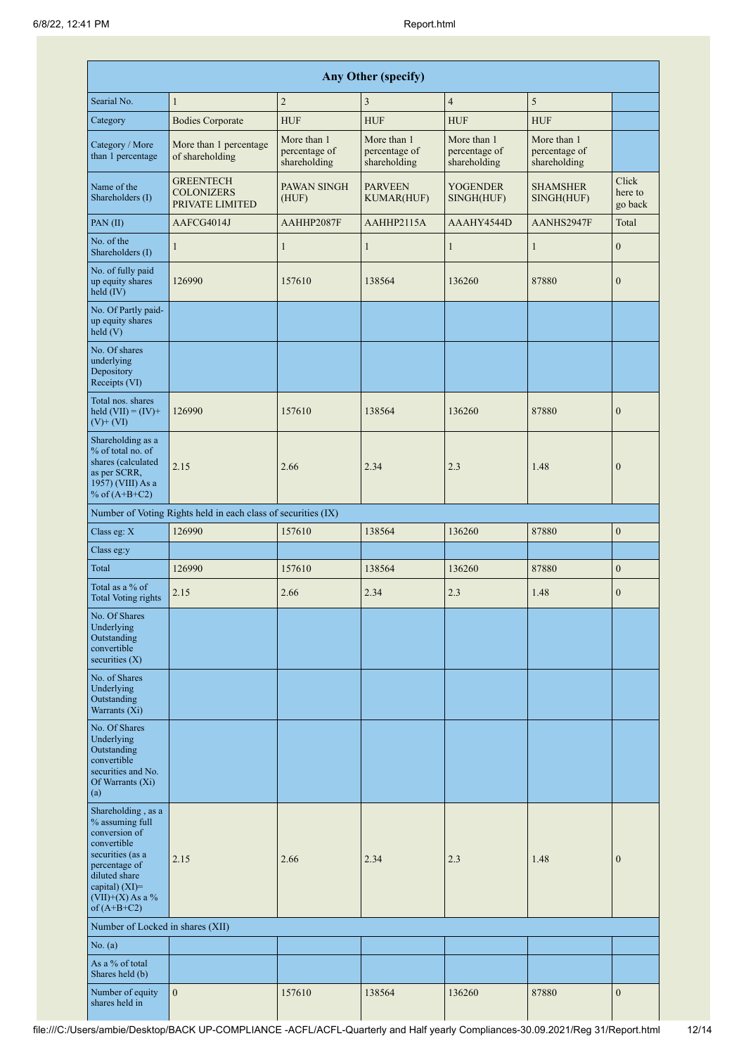|                                                                                                                                                                                         |                                                               |                                              | <b>Any Other (specify)</b>                   |                                              |                                              |                             |
|-----------------------------------------------------------------------------------------------------------------------------------------------------------------------------------------|---------------------------------------------------------------|----------------------------------------------|----------------------------------------------|----------------------------------------------|----------------------------------------------|-----------------------------|
| Searial No.                                                                                                                                                                             | $\mathbf{1}$                                                  | $\overline{2}$                               | $\mathfrak{Z}$                               | $\overline{4}$                               | $\sqrt{5}$                                   |                             |
| Category                                                                                                                                                                                | <b>Bodies Corporate</b>                                       | <b>HUF</b>                                   | <b>HUF</b>                                   | <b>HUF</b>                                   | <b>HUF</b>                                   |                             |
| Category / More<br>than 1 percentage                                                                                                                                                    | More than 1 percentage<br>of shareholding                     | More than 1<br>percentage of<br>shareholding | More than 1<br>percentage of<br>shareholding | More than 1<br>percentage of<br>shareholding | More than 1<br>percentage of<br>shareholding |                             |
| Name of the<br>Shareholders (I)                                                                                                                                                         | <b>GREENTECH</b><br><b>COLONIZERS</b><br>PRIVATE LIMITED      | PAWAN SINGH<br>(HUF)                         | <b>PARVEEN</b><br><b>KUMAR(HUF)</b>          | <b>YOGENDER</b><br>SINGH(HUF)                | <b>SHAMSHER</b><br>SINGH(HUF)                | Click<br>here to<br>go back |
| PAN(II)                                                                                                                                                                                 | AAFCG4014J                                                    | AAHHP2087F                                   | AAHHP2115A                                   | AAAHY4544D                                   | AANHS2947F                                   | Total                       |
| No. of the<br>Shareholders (I)                                                                                                                                                          | 1                                                             | $\mathbf{1}$                                 | $\mathbf{1}$                                 | $\mathbf{1}$                                 | $\mathbf{1}$                                 | $\mathbf{0}$                |
| No. of fully paid<br>up equity shares<br>held $(IV)$                                                                                                                                    | 126990                                                        | 157610                                       | 138564                                       | 136260                                       | 87880                                        | $\mathbf{0}$                |
| No. Of Partly paid-<br>up equity shares<br>held (V)                                                                                                                                     |                                                               |                                              |                                              |                                              |                                              |                             |
| No. Of shares<br>underlying<br>Depository<br>Receipts (VI)                                                                                                                              |                                                               |                                              |                                              |                                              |                                              |                             |
| Total nos. shares<br>held $(VII) = (IV) +$<br>$(V)+(VI)$                                                                                                                                | 126990                                                        | 157610                                       | 138564                                       | 136260                                       | 87880                                        | $\mathbf{0}$                |
| Shareholding as a<br>% of total no. of<br>shares (calculated<br>as per SCRR,<br>1957) (VIII) As a<br>% of $(A+B+C2)$                                                                    | 2.15                                                          | 2.66                                         | 2.34                                         | 2.3                                          | 1.48                                         | $\boldsymbol{0}$            |
|                                                                                                                                                                                         | Number of Voting Rights held in each class of securities (IX) |                                              |                                              |                                              |                                              |                             |
| Class eg: X                                                                                                                                                                             | 126990                                                        | 157610                                       | 138564                                       | 136260                                       | 87880                                        | $\boldsymbol{0}$            |
| Class eg:y                                                                                                                                                                              |                                                               |                                              |                                              |                                              |                                              |                             |
| Total                                                                                                                                                                                   | 126990                                                        | 157610                                       | 138564                                       | 136260                                       | 87880                                        | $\boldsymbol{0}$            |
| Total as a % of<br><b>Total Voting rights</b>                                                                                                                                           | 2.15                                                          | 2.66                                         | 2.34                                         | 2.3                                          | 1.48                                         | $\boldsymbol{0}$            |
| No. Of Shares<br>Underlying<br>Outstanding<br>convertible<br>securities $(X)$                                                                                                           |                                                               |                                              |                                              |                                              |                                              |                             |
| No. of Shares<br>Underlying<br>Outstanding<br>Warrants $(X_i)$                                                                                                                          |                                                               |                                              |                                              |                                              |                                              |                             |
| No. Of Shares<br>Underlying<br>Outstanding<br>convertible<br>securities and No.<br>Of Warrants (Xi)<br>(a)                                                                              |                                                               |                                              |                                              |                                              |                                              |                             |
| Shareholding, as a<br>% assuming full<br>conversion of<br>convertible<br>securities (as a<br>percentage of<br>diluted share<br>capital) $(XI)$ =<br>$(VII)+(X)$ As a %<br>of $(A+B+C2)$ | 2.15                                                          | 2.66                                         | 2.34                                         | 2.3                                          | 1.48                                         | $\mathbf{0}$                |
| Number of Locked in shares (XII)                                                                                                                                                        |                                                               |                                              |                                              |                                              |                                              |                             |
| No. (a)                                                                                                                                                                                 |                                                               |                                              |                                              |                                              |                                              |                             |
| As a % of total<br>Shares held (b)                                                                                                                                                      |                                                               |                                              |                                              |                                              |                                              |                             |
| Number of equity<br>shares held in                                                                                                                                                      | $\mathbf{0}$                                                  | 157610                                       | 138564                                       | 136260                                       | 87880                                        | $\boldsymbol{0}$            |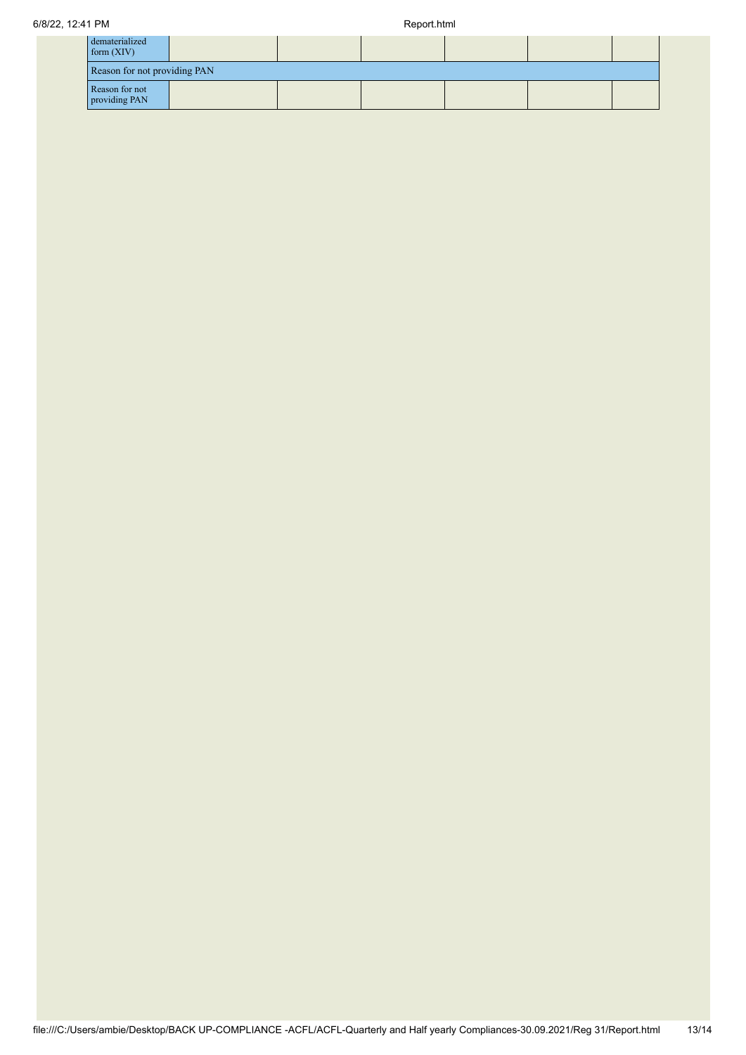| dematerialized<br>form(XIV)     |                              |  |  |  |  |  |  |
|---------------------------------|------------------------------|--|--|--|--|--|--|
|                                 | Reason for not providing PAN |  |  |  |  |  |  |
| Reason for not<br>providing PAN |                              |  |  |  |  |  |  |